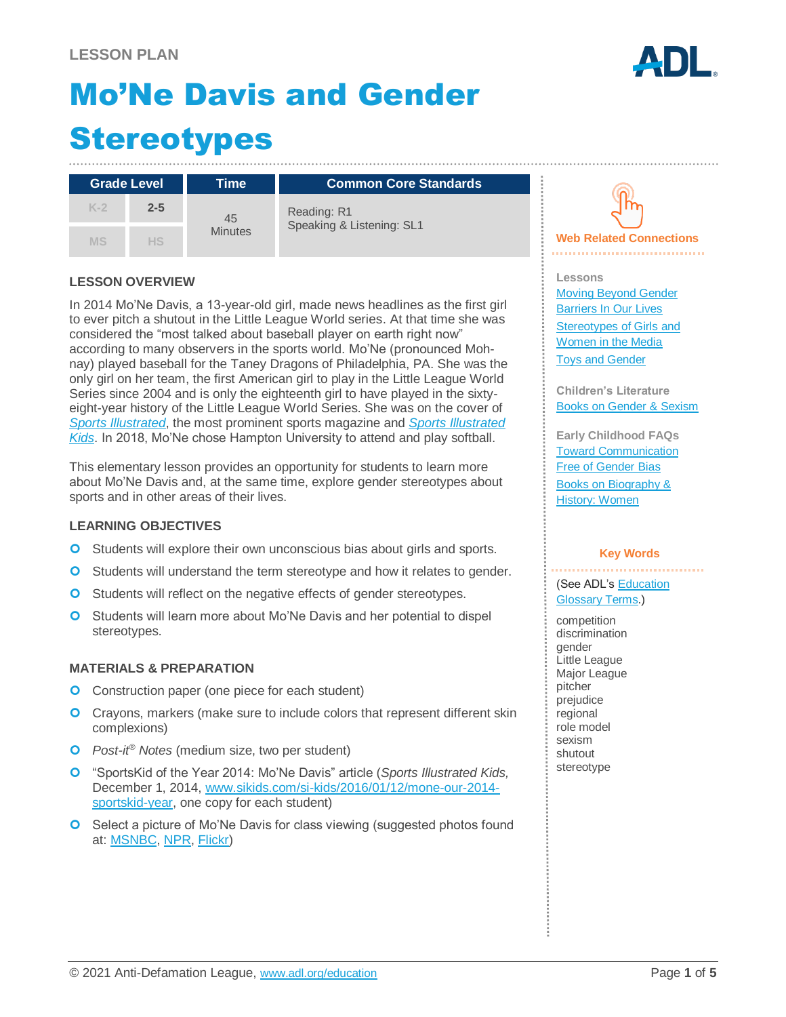# Mo'Ne Davis and Gender **Stereotypes**

| <b>Grade Level</b> |         | Time                 | <b>Common Core Standards</b>             |
|--------------------|---------|----------------------|------------------------------------------|
| $K-2$              | $2 - 5$ | 45<br><b>Minutes</b> | Reading: R1<br>Speaking & Listening: SL1 |
| <b>MS</b>          | HS      |                      |                                          |

#### **LESSON OVERVIEW**

In 2014 Mo'Ne Davis, a 13-year-old girl, made news headlines as the first girl to ever pitch a shutout in the Little League World series. At that time she was considered the "most talked about baseball player on earth right now" according to many observers in the sports world. Mo'Ne (pronounced Mohnay) played baseball for the Taney Dragons of Philadelphia, PA. She was the only girl on her team, the first American girl to play in the Little League World Series since 2004 and is only the eighteenth girl to have played in the sixtyeight-year history of the Little League World Series. She was on the cover of *[Sports Illustrated](https://www.si.com/more-sports/2014/08/19/mone-davis-little-league-world-series-sports-illustrated-cover)*, the most prominent sports magazine and *[Sports Illustrated](http://time.com/3611496/mone-davis-sports-illustrated-kid-of-the-year/)  [Kids](http://time.com/3611496/mone-davis-sports-illustrated-kid-of-the-year/)*. In 2018, Mo'Ne chose Hampton University to attend and play softball.

This elementary lesson provides an opportunity for students to learn more about Mo'Ne Davis and, at the same time, explore gender stereotypes about sports and in other areas of their lives.

#### **LEARNING OBJECTIVES**

- **O** Students will explore their own unconscious bias about girls and sports.
- **O** Students will understand the term stereotype and how it relates to gender.
- **O** Students will reflect on the negative effects of gender stereotypes.
- **O** Students will learn more about Mo'Ne Davis and her potential to dispel stereotypes.

#### **MATERIALS & PREPARATION**

- **O** Construction paper (one piece for each student)
- **O** Crayons, markers (make sure to include colors that represent different skin complexions)
- *Post-it® Notes* (medium size, two per student)
- "SportsKid of the Year 2014: Mo'Ne Davis" article (*Sports Illustrated Kids,*  December 1, 2014, [www.sikids.com/si-kids/2016/01/12/mone-our-2014](https://www.sikids.com/si-kids/2016/01/12/mone-our-2014-sportskid-year) [sportskid-year,](https://www.sikids.com/si-kids/2016/01/12/mone-our-2014-sportskid-year) one copy for each student)
- **O** Select a picture of Mo'Ne Davis for class viewing (suggested photos found at: [MSNBC,](http://www.msnbc.com/rachel-maddow-show/how-fast-mone-davis-fast) [NPR,](https://www.npr.org/sections/thetwo-way/2014/11/17/364687486/book-news-mo-ne-davis-steps-from-the-pitcher-s-mound-into-memoir) [Flickr\)](https://www.flickr.com/photos/newspaperguy/14863698105/in/photolist-oDskAZ-oL438P-ozcZjm-oB3mTo-ok9KwS-omYkge-oKvNN2-oWrYBN-oJGQBj-pL5w8R-oKKvyw-p2aa7w-pjmruF-q2wyRx-oYS2QN-oPvGcR-ptSjM1-ptSjKs-oJGAPS-oJp5D4-ptUSBS-p2RcAg-p2SipM-oPsLRY-p2c5fg-oQftxZ-p2RvcE-oJpGdt-p2Si6F-oJpkRj-p1VJja-pL5w1X-pjmrkx-oZactw-oJH1iT-oJGjXa-p2c6LH-p1VB2z-oJGTdm-p1VFuT-pjjy5q-p2ahQh-oJpjSA-oWrdcf-pYfVDn-pj5jCx-pjjy4J-pj5kjH-phjiE9-oJGgsK)



**Web Related Connections** 

**Lessons** [Moving Beyond Gender](https://www.adl.org/education/educator-resources/lesson-plans/moving-beyond-gender-barriers-in-our-lives)  [Barriers In Our Lives](https://www.adl.org/education/educator-resources/lesson-plans/moving-beyond-gender-barriers-in-our-lives) [Stereotypes of Girls and](https://www.adl.org/education/educator-resources/lesson-plans/stereotypes-of-girls-and-women-in-the-media)  [Women in the Media](https://www.adl.org/education/educator-resources/lesson-plans/stereotypes-of-girls-and-women-in-the-media) [Toys and Gender](https://www.adl.org/education/educator-resources/lesson-plans/toys-and-gender)

**Children's Literature** [Books on Gender & Sexism](https://www.adl.org/education-and-resources/resources-for-educators-parents-families/childrens-literature?childrens-lit-select-all-3=1&tid%5b171%5d=171&tid%5b172%5d=172&tid%5b173%5d=173&tid%5b174%5d=174&tid%5b175%5d=175)

**Early Childhood FAQs** [Toward Communication](https://www.adl.org/education/resources/tools-and-strategies/toward-communication-free-of-gender-bias)  [Free of Gender Bias](https://www.adl.org/education/resources/tools-and-strategies/toward-communication-free-of-gender-bias) [Books on Biography &](https://www.adl.org/education-and-resources/resources-for-educators-parents-families/childrens-literature?tid%5b171%5d=171)  [History: Women](https://www.adl.org/education-and-resources/resources-for-educators-parents-families/childrens-literature?tid%5b171%5d=171)

#### **Key Words**

(See ADL's [Education](https://www.adl.org/education/resources/glossary-terms/education-glossary-terms)  [Glossary Terms.](https://www.adl.org/education/resources/glossary-terms/education-glossary-terms))

competition discrimination gender Little League Major League pitcher prejudice regional role model sexism shutout stereotype

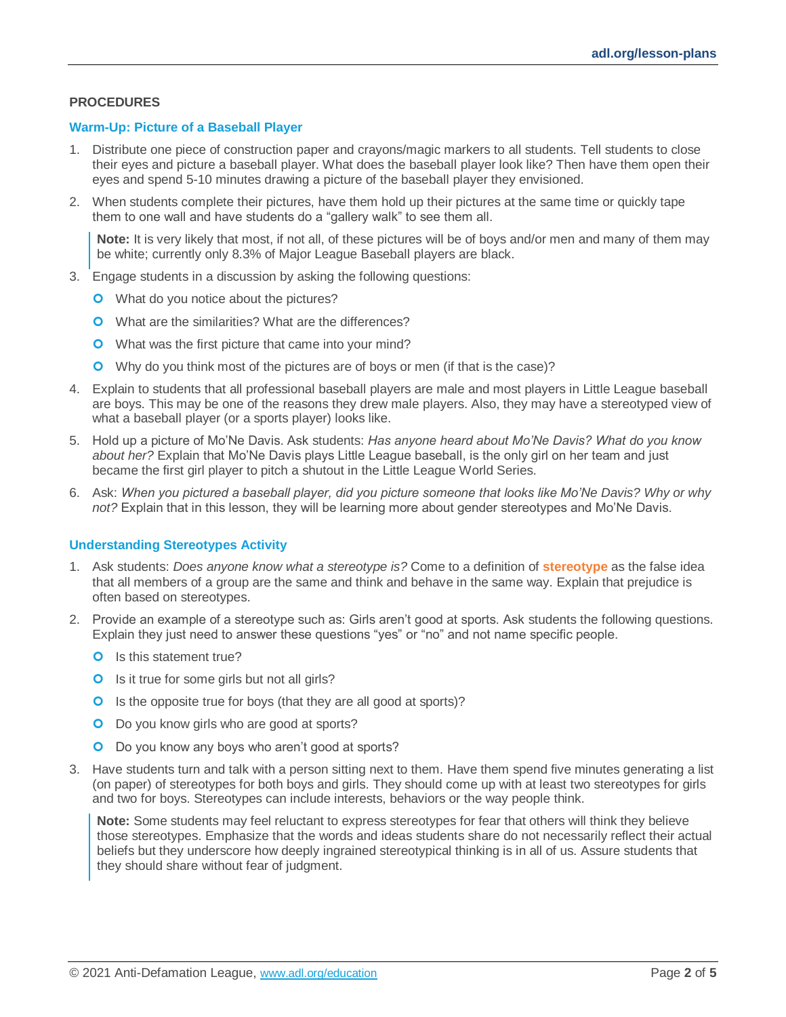#### **PROCEDURES**

#### **Warm-Up: Picture of a Baseball Player**

- 1. Distribute one piece of construction paper and crayons/magic markers to all students. Tell students to close their eyes and picture a baseball player. What does the baseball player look like? Then have them open their eyes and spend 5-10 minutes drawing a picture of the baseball player they envisioned.
- 2. When students complete their pictures, have them hold up their pictures at the same time or quickly tape them to one wall and have students do a "gallery walk" to see them all.

**Note:** It is very likely that most, if not all, of these pictures will be of boys and/or men and many of them may be white; currently only 8.3% of Major League Baseball players are black.

- 3. Engage students in a discussion by asking the following questions:
	- **O** What do you notice about the pictures?
	- **O** What are the similarities? What are the differences?
	- **O** What was the first picture that came into your mind?
	- Why do you think most of the pictures are of boys or men (if that is the case)?
- 4. Explain to students that all professional baseball players are male and most players in Little League baseball are boys. This may be one of the reasons they drew male players. Also, they may have a stereotyped view of what a baseball player (or a sports player) looks like.
- 5. Hold up a picture of Mo'Ne Davis. Ask students: *Has anyone heard about Mo'Ne Davis? What do you know about her?* Explain that Mo'Ne Davis plays Little League baseball, is the only girl on her team and just became the first girl player to pitch a shutout in the Little League World Series.
- 6. Ask: *When you pictured a baseball player, did you picture someone that looks like Mo'Ne Davis? Why or why not?* Explain that in this lesson, they will be learning more about gender stereotypes and Mo'Ne Davis.

#### **Understanding Stereotypes Activity**

- 1. Ask students: *Does anyone know what a stereotype is?* Come to a definition of **stereotype** as the false idea that all members of a group are the same and think and behave in the same way. Explain that prejudice is often based on stereotypes.
- 2. Provide an example of a stereotype such as: Girls aren't good at sports. Ask students the following questions. Explain they just need to answer these questions "yes" or "no" and not name specific people.
	- **O** Is this statement true?
	- **O** Is it true for some girls but not all girls?
	- **O** Is the opposite true for boys (that they are all good at sports)?
	- **O** Do you know girls who are good at sports?
	- O Do you know any boys who aren't good at sports?
- 3. Have students turn and talk with a person sitting next to them. Have them spend five minutes generating a list (on paper) of stereotypes for both boys and girls. They should come up with at least two stereotypes for girls and two for boys. Stereotypes can include interests, behaviors or the way people think.

**Note:** Some students may feel reluctant to express stereotypes for fear that others will think they believe those stereotypes. Emphasize that the words and ideas students share do not necessarily reflect their actual beliefs but they underscore how deeply ingrained stereotypical thinking is in all of us. Assure students that they should share without fear of judgment.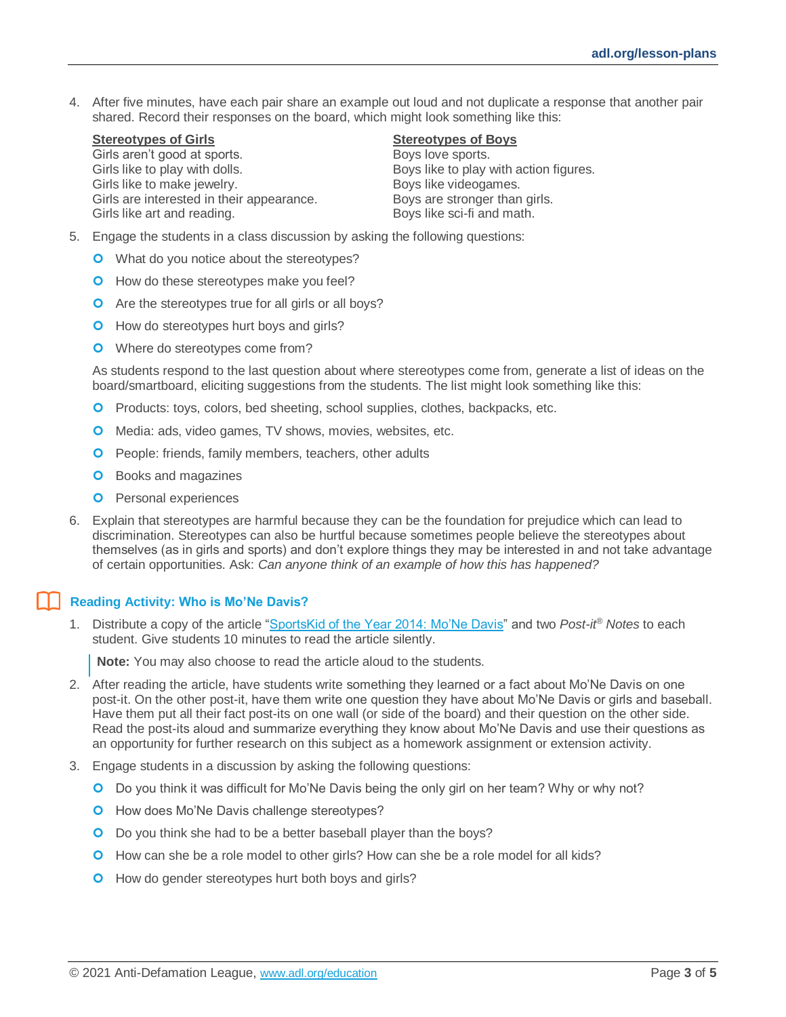4. After five minutes, have each pair share an example out loud and not duplicate a response that another pair shared. Record their responses on the board, which might look something like this:

#### **Stereotypes of Girls Stereotypes of Boys**

Girls aren't good at sports. The sports of the Boys love sports. Girls like to play with dolls.<br>Girls like to make jewelry. The same state of the Boys like videogames. Girls like to make jewelry. Girls are interested in their appearance. Boys are stronger than girls. Girls like art and reading. The same school is a Boys like sci-fi and math.

- 5. Engage the students in a class discussion by asking the following questions:
	- **O** What do you notice about the stereotypes?
	- **O** How do these stereotypes make you feel?
	- **O** Are the stereotypes true for all girls or all boys?
	- **O** How do stereotypes hurt boys and girls?
	- **O** Where do stereotypes come from?

As students respond to the last question about where stereotypes come from, generate a list of ideas on the board/smartboard, eliciting suggestions from the students. The list might look something like this:

- **O** Products: toys, colors, bed sheeting, school supplies, clothes, backpacks, etc.
- **O** Media: ads, video games, TV shows, movies, websites, etc.
- **O** People: friends, family members, teachers, other adults
- **O** Books and magazines
- **O** Personal experiences
- 6. Explain that stereotypes are harmful because they can be the foundation for prejudice which can lead to discrimination. Stereotypes can also be hurtful because sometimes people believe the stereotypes about themselves (as in girls and sports) and don't explore things they may be interested in and not take advantage of certain opportunities. Ask: *Can anyone think of an example of how this has happened?*

#### **Reading Activity: Who is Mo'Ne Davis?**

1. Distribute a copy of the article ["SportsKid of the Year 2014: Mo'Ne Davis"](https://www.sikids.com/si-kids/2016/01/12/mone-our-2014-sportskid-year) and two *Post-it® Notes* to each student. Give students 10 minutes to read the article silently.

**Note:** You may also choose to read the article aloud to the students.

- 2. After reading the article, have students write something they learned or a fact about Mo'Ne Davis on one post-it. On the other post-it, have them write one question they have about Mo'Ne Davis or girls and baseball. Have them put all their fact post-its on one wall (or side of the board) and their question on the other side. Read the post-its aloud and summarize everything they know about Mo'Ne Davis and use their questions as an opportunity for further research on this subject as a homework assignment or extension activity.
- 3. Engage students in a discussion by asking the following questions:
	- O Do you think it was difficult for Mo'Ne Davis being the only girl on her team? Why or why not?
	- **O** How does Mo'Ne Davis challenge stereotypes?
	- O Do you think she had to be a better baseball player than the boys?
	- **O** How can she be a role model to other girls? How can she be a role model for all kids?
	- **O** How do gender stereotypes hurt both boys and girls?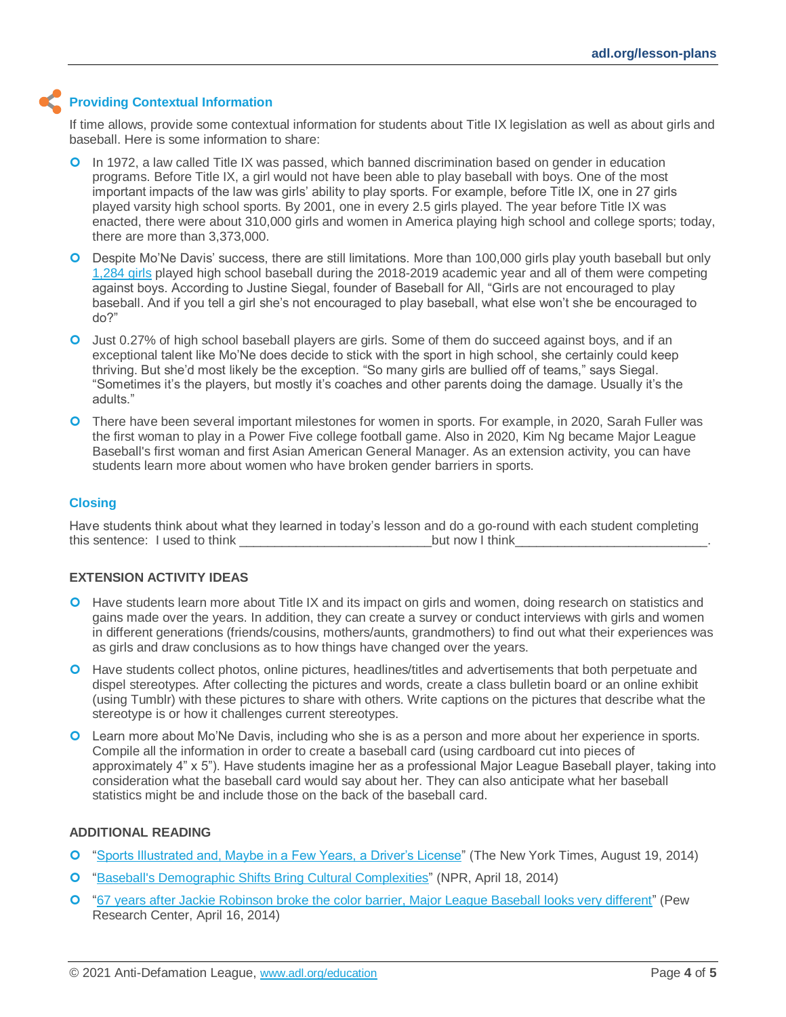### **Providing Contextual Information**

If time allows, provide some contextual information for students about Title IX legislation as well as about girls and baseball. Here is some information to share:

- In 1972, a law called Title IX was passed, which banned discrimination based on gender in education programs. Before Title IX, a girl would not have been able to play baseball with boys. One of the most important impacts of the law was girls' ability to play sports. For example, before Title IX, one in 27 girls played varsity high school sports. By 2001, one in every 2.5 girls played. The year before Title IX was enacted, there were about 310,000 girls and women in America playing high school and college sports; today, there are more than 3,373,000.
- **O** Despite Mo'Ne Davis' success, there are still limitations. More than 100,000 girls play youth baseball but only [1,284 girls](https://www.statista.com/statistics/267954/participation-in-us-high-school-baseball/) played high school baseball during the 2018-2019 academic year and all of them were competing against boys. According to Justine Siegal, founder of Baseball for All, "Girls are not encouraged to play baseball. And if you tell a girl she's not encouraged to play baseball, what else won't she be encouraged to do?"
- Just 0.27% of high school baseball players are girls. Some of them do succeed against boys, and if an exceptional talent like Mo'Ne does decide to stick with the sport in high school, she certainly could keep thriving. But she'd most likely be the exception. "So many girls are bullied off of teams," says Siegal. "Sometimes it's the players, but mostly it's coaches and other parents doing the damage. Usually it's the adults."
- **O** There have been several important milestones for women in sports. For example, in 2020, Sarah Fuller was the first woman to play in a Power Five college football game. Also in 2020, Kim Ng became Major League Baseball's first woman and first Asian American General Manager. As an extension activity, you can have students learn more about women who have broken gender barriers in sports.

#### **Closing**

Have students think about what they learned in today's lesson and do a go-round with each student completing this sentence: I used to think **the sentence** of the sentence of the sentence of the sentence of the sentence of the sentence of the sentence of the sentence of the sentence of the sentence of the sentence of the sentence

#### **EXTENSION ACTIVITY IDEAS**

- **O** Have students learn more about Title IX and its impact on girls and women, doing research on statistics and gains made over the years. In addition, they can create a survey or conduct interviews with girls and women in different generations (friends/cousins, mothers/aunts, grandmothers) to find out what their experiences was as girls and draw conclusions as to how things have changed over the years.
- **O** Have students collect photos, online pictures, headlines/titles and advertisements that both perpetuate and dispel stereotypes. After collecting the pictures and words, create a class bulletin board or an online exhibit (using Tumblr) with these pictures to share with others. Write captions on the pictures that describe what the stereotype is or how it challenges current stereotypes.
- Learn more about Mo'Ne Davis, including who she is as a person and more about her experience in sports. Compile all the information in order to create a baseball card (using cardboard cut into pieces of approximately 4" x 5"). Have students imagine her as a professional Major League Baseball player, taking into consideration what the baseball card would say about her. They can also anticipate what her baseball statistics might be and include those on the back of the baseball card.

#### **ADDITIONAL READING**

- ["Sports Illustrated and, Maybe in a Few Years, a Driver's License"](http://www.nytimes.com/2014/08/20/sports/baseball/mone-davis-takes-little-league-world-series-stardom-in-stride.html?_r=0) (The New York Times, August 19, 2014)
- ["Baseball's Demographic Shifts Bring Cultural Complexities"](http://www.npr.org/blogs/codeswitch/2014/04/18/304176446/baseballs-demographic-shifts-bring-cultural-complexities) (NPR, April 18, 2014)
- ["67 years after Jackie Robinson broke the color barrier, Major League Baseball looks very different"](http://www.pewresearch.org/fact-tank/2014/04/16/67-years-after-jackie-robinson-broke-the-color-barrier-major-league-baseball-looks-very-different/) (Pew Research Center, April 16, 2014)